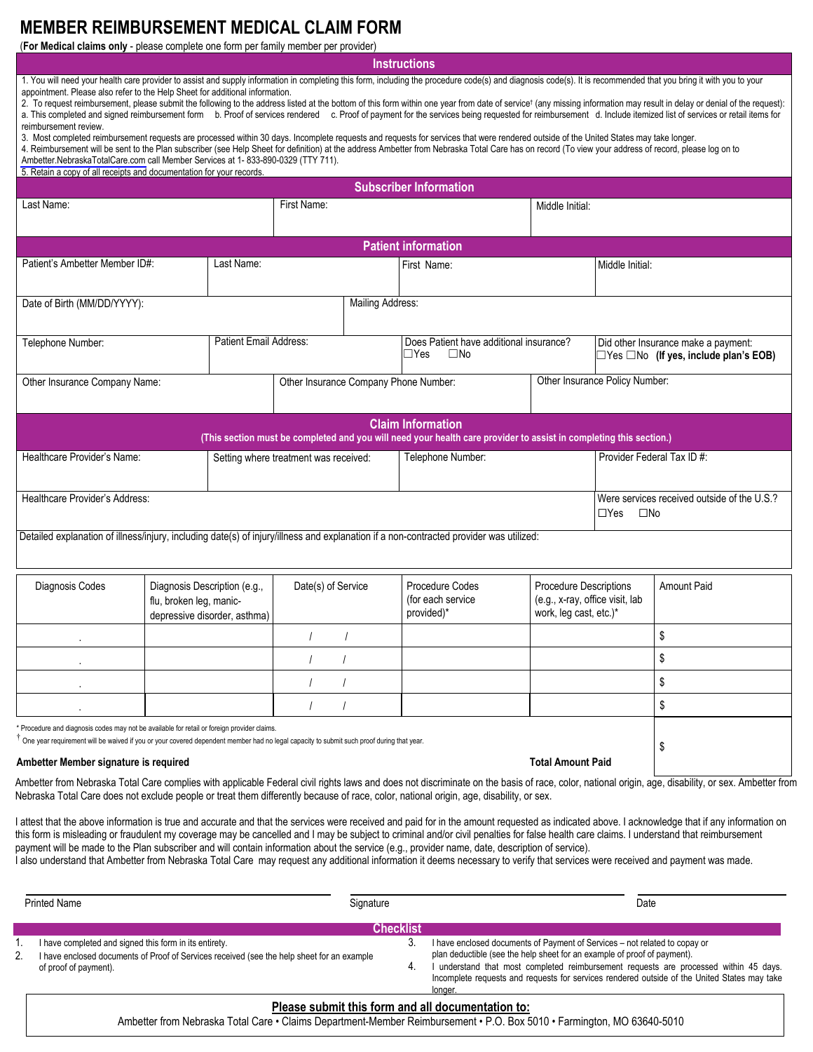## **MEMBER REIMBURSEMENT MEDICAL CLAIM FORM**

(**For Medical claims only** - please complete one form per family member per provider)

**Instructions**

1. You will need your health care provider to assist and supply information in completing this form, including the procedure code(s) and diagnosis code(s). It is recommended that you bring it with you to your appointment. Please also refer to the Help Sheet for additional information.

2. To request reimbursement, please submit the following to the address listed at the bottom of this form within one year from date of service<sup>†</sup> (any missing information may result in delay or denial of the request): a. This completed and signed reimbursement form b. Proof of services rendered c. Proof of payment for the services being requested for reimbursement d. Include itemized list of services or retail items for reimbursement review.

3. Most completed reimbursement requests are processed within 30 days. Incomplete requests and requests for services that were rendered outside of the United States may take longer.

4. Reimbursement will be sent to the Plan subscriber (see Help Sheet for definition) at the address Ambetter from Nebraska Total Care has on record (To view your address of record, please log on to [Ambetter.NebraskaTotalCare.com](http://Ambetter.NebraskaTotalCare.com) call Member Services at 1- 833-890-0329 (TTY 711).

5. Retain a copy of all receipts and documentation for your records.

| <b>Subscriber Information</b>                                                                                                                                                                                                         |                                                                                                                                                                                                     |                                       |                                                    |                                                                                     |                            |                                                                                          |  |  |
|---------------------------------------------------------------------------------------------------------------------------------------------------------------------------------------------------------------------------------------|-----------------------------------------------------------------------------------------------------------------------------------------------------------------------------------------------------|---------------------------------------|----------------------------------------------------|-------------------------------------------------------------------------------------|----------------------------|------------------------------------------------------------------------------------------|--|--|
| Last Name:                                                                                                                                                                                                                            |                                                                                                                                                                                                     | First Name:                           |                                                    |                                                                                     | Middle Initial:            |                                                                                          |  |  |
| <b>Patient information</b>                                                                                                                                                                                                            |                                                                                                                                                                                                     |                                       |                                                    |                                                                                     |                            |                                                                                          |  |  |
| Patient's Ambetter Member ID#:<br>Last Name:                                                                                                                                                                                          |                                                                                                                                                                                                     |                                       | First Name:                                        |                                                                                     |                            | Middle Initial:                                                                          |  |  |
| <b>Mailing Address:</b><br>Date of Birth (MM/DD/YYYY):                                                                                                                                                                                |                                                                                                                                                                                                     |                                       |                                                    |                                                                                     |                            |                                                                                          |  |  |
| Telephone Number:                                                                                                                                                                                                                     |                                                                                                                                                                                                     | Patient Email Address:                | $\Box$ Yes<br>$\square$ No                         | Does Patient have additional insurance?                                             |                            | Did other Insurance make a payment:<br>$\Box$ Yes $\Box$ No (If yes, include plan's EOB) |  |  |
| Other Insurance Company Name:                                                                                                                                                                                                         |                                                                                                                                                                                                     | Other Insurance Company Phone Number: |                                                    | Other Insurance Policy Number:                                                      |                            |                                                                                          |  |  |
| <b>Claim Information</b><br>(This section must be completed and you will need your health care provider to assist in completing this section.)                                                                                        |                                                                                                                                                                                                     |                                       |                                                    |                                                                                     |                            |                                                                                          |  |  |
| Healthcare Provider's Name:                                                                                                                                                                                                           |                                                                                                                                                                                                     | Setting where treatment was received: | Telephone Number:                                  |                                                                                     |                            | Provider Federal Tax ID #:                                                               |  |  |
| Healthcare Provider's Address:                                                                                                                                                                                                        |                                                                                                                                                                                                     |                                       |                                                    |                                                                                     | $\Box$ Yes<br>$\square$ No | Were services received outside of the U.S.?                                              |  |  |
| Detailed explanation of illness/injury, including date(s) of injury/illness and explanation if a non-contracted provider was utilized:                                                                                                |                                                                                                                                                                                                     |                                       |                                                    |                                                                                     |                            |                                                                                          |  |  |
| Diagnosis Codes<br>Diagnosis Description (e.g.,<br>flu, broken leg, manic-<br>depressive disorder, asthma)                                                                                                                            |                                                                                                                                                                                                     | Date(s) of Service                    | Procedure Codes<br>(for each service<br>provided)* | Procedure Descriptions<br>(e.g., x-ray, office visit, lab<br>work, leg cast, etc.)* |                            | Amount Paid                                                                              |  |  |
|                                                                                                                                                                                                                                       |                                                                                                                                                                                                     |                                       |                                                    |                                                                                     |                            | \$                                                                                       |  |  |
|                                                                                                                                                                                                                                       |                                                                                                                                                                                                     |                                       |                                                    |                                                                                     |                            | \$                                                                                       |  |  |
|                                                                                                                                                                                                                                       |                                                                                                                                                                                                     |                                       |                                                    |                                                                                     |                            | \$                                                                                       |  |  |
|                                                                                                                                                                                                                                       |                                                                                                                                                                                                     |                                       |                                                    |                                                                                     |                            | \$                                                                                       |  |  |
| Procedure and diagnosis codes may not be available for retail or foreign provider claims.<br>One year requirement will be waived if you or your covered dependent member had no legal capacity to submit such proof during that year. | \$                                                                                                                                                                                                  |                                       |                                                    |                                                                                     |                            |                                                                                          |  |  |
| Ambetter Member signature is required                                                                                                                                                                                                 | Ambetter from Nebrocke Total Care complice with applicable Eederal civil rights lows and does not discriminate on the bosic of rees, orler, patienal crigin, and, dischility, ar sex. Ambetter from |                                       |                                                    |                                                                                     |                            |                                                                                          |  |  |

,'are complies with applicable Federal civil rights laws and does not discriminate on the basis of race, color, national origin, age, disability, or sex. Ambetter from Nebraska Total Care does not exclude people or treat them differently because of race, color, national origin, age, disability, or sex.

I attest that the above information is true and accurate and that the services were received and paid for in the amount requested as indicated above. I acknowledge that if any information on this form is misleading or fraudulent my coverage may be cancelled and I may be subject to criminal and/or civil penalties for false health care claims. I understand that reimbursement payment will be made to the Plan subscriber and will contain information about the service (e.g., provider name, date, description of service).

I also understand that Ambetter from Nebraska Total Care may request any additional information it deems necessary to verify that services were received and payment was made.

| <b>Printed Name</b><br>Signature |                                                                                                                                                                               |                  | Date                                                                                                                                                                                                                                                                                                                                                       |  |  |  |  |
|----------------------------------|-------------------------------------------------------------------------------------------------------------------------------------------------------------------------------|------------------|------------------------------------------------------------------------------------------------------------------------------------------------------------------------------------------------------------------------------------------------------------------------------------------------------------------------------------------------------------|--|--|--|--|
|                                  |                                                                                                                                                                               | <b>Checklist</b> |                                                                                                                                                                                                                                                                                                                                                            |  |  |  |  |
| 2.                               | I have completed and signed this form in its entirety.<br>I have enclosed documents of Proof of Services received (see the help sheet for an example<br>of proof of payment). | J.<br>4.         | I have enclosed documents of Payment of Services - not related to copay or<br>plan deductible (see the help sheet for an example of proof of payment).<br>I understand that most completed reimbursement requests are processed within 45 days.<br>Incomplete requests and requests for services rendered outside of the United States may take<br>longer. |  |  |  |  |
|                                  | Please submit this form and all documentation to:                                                                                                                             |                  |                                                                                                                                                                                                                                                                                                                                                            |  |  |  |  |

## Ambetter from Nebraska Total Care • Claims Department-Member Reimbursement • P.O. Box 5010 • Farmington, MO 63640-5010